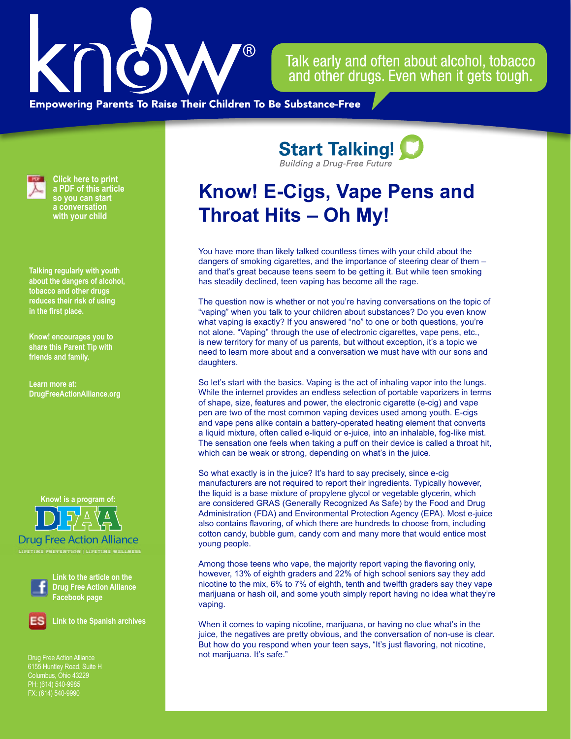

Talk early and often about alcohol, tobacco and other drugs. Even when it gets tough.

**Empowering Parents To Raise Their Children To Be Substance-Free** 



**Click here to print a PDF of this article so you can start a conversation with your child**

**Talking regularly with youth about the dangers of alcohol, tobacco and other drugs reduces their risk of using in the first place.**

**Know! encourages you to share this Parent Tip with friends and family.**

**Learn more at: [DrugFreeActionAlliance.org](https://www.drugfreeactionalliance.org/)**

**Know! is a program of:**

Drug Free Action Alliance



**Link to the article on the Drug Free Action Alliance Facebook page**

**Link to the Spanish archives**

Drug Free Action Alliance Columbus, Ohio 43229 PH: (614) 540-9985 FX: (614) 540-9990

**Start Talking! Building a Drug-Free Future** 

## **Know! E-Cigs, Vape Pens and Throat Hits – Oh My!**

You have more than likely talked countless times with your child about the dangers of smoking cigarettes, and the importance of steering clear of them – and that's great because teens seem to be getting it. But while teen smoking has steadily declined, teen vaping has become all the rage.

The question now is whether or not you're having conversations on the topic of "vaping" when you talk to your children about substances? Do you even know what vaping is exactly? If you answered "no" to one or both questions, you're not alone. "Vaping" through the use of electronic cigarettes, vape pens, etc., is new territory for many of us parents, but without exception, it's a topic we need to learn more about and a conversation we must have with our sons and daughters.

So let's start with the basics. Vaping is the act of inhaling vapor into the lungs. While the internet provides an endless selection of portable vaporizers in terms of shape, size, features and power, the electronic cigarette (e-cig) and vape pen are two of the most common vaping devices used among youth. E-cigs and vape pens alike contain a battery-operated heating element that converts a liquid mixture, often called e-liquid or e-juice, into an inhalable, fog-like mist. The sensation one feels when taking a puff on their device is called a throat hit, which can be weak or strong, depending on what's in the juice.

So what exactly is in the juice? It's hard to say precisely, since e-cig manufacturers are not required to report their ingredients. Typically however, the liquid is a base mixture of propylene glycol or vegetable glycerin, which are considered GRAS (Generally Recognized As Safe) by the Food and Drug Administration (FDA) and Environmental Protection Agency (EPA). Most e-juice also contains flavoring, of which there are hundreds to choose from, including cotton candy, bubble gum, candy corn and many more that would entice most young people.

Among those teens who vape, the majority report vaping the flavoring only, however, 13% of eighth graders and 22% of high school seniors say they add nicotine to the mix, 6% to 7% of eighth, tenth and twelfth graders say they vape marijuana or hash oil, and some youth simply report having no idea what they're vaping.

When it comes to vaping nicotine, marijuana, or having no clue what's in the juice, the negatives are pretty obvious, and the conversation of non-use is clear. But how do you respond when your teen says, "It's just flavoring, not nicotine, not marijuana. It's safe."